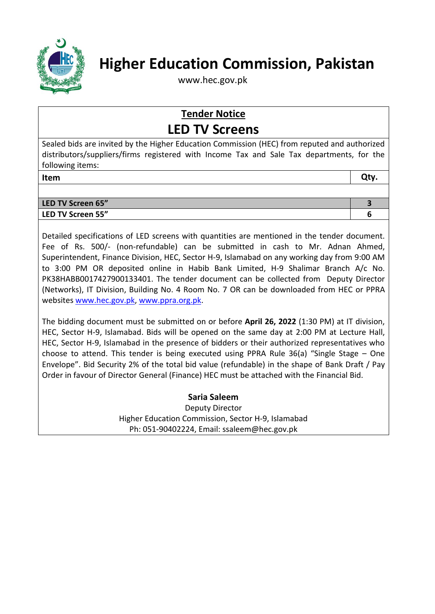

# **Higher Education Commission, Pakistan**

www.hec.gov.pk

## **Tender Notice LED TV Screens**

Sealed bids are invited by the Higher Education Commission (HEC) from reputed and authorized distributors/suppliers/firms registered with Income Tax and Sale Tax departments, for the following items:

| Item | Qty. |
|------|------|
|------|------|

| LED TV Screen 65" |  |
|-------------------|--|
| LED TV Screen 55" |  |
|                   |  |

Detailed specifications of LED screens with quantities are mentioned in the tender document. Fee of Rs. 500/- (non-refundable) can be submitted in cash to Mr. Adnan Ahmed, Superintendent, Finance Division, HEC, Sector H-9, Islamabad on any working day from 9:00 AM to 3:00 PM OR deposited online in Habib Bank Limited, H-9 Shalimar Branch A/c No. PK38HABB0017427900133401. The tender document can be collected from Deputy Director (Networks), IT Division, Building No. 4 Room No. 7 OR can be downloaded from HEC or PPRA websites [www.hec.gov.pk,](http://www.hec.gov.pk/) [www.ppra.org.pk.](http://www.ppra.org.pk/)

The bidding document must be submitted on or before **April 26, 2022** (1:30 PM) at IT division, HEC, Sector H-9, Islamabad. Bids will be opened on the same day at 2:00 PM at Lecture Hall, HEC, Sector H-9, Islamabad in the presence of bidders or their authorized representatives who choose to attend. This tender is being executed using PPRA Rule 36(a) "Single Stage – One Envelope". Bid Security 2% of the total bid value (refundable) in the shape of Bank Draft / Pay Order in favour of Director General (Finance) HEC must be attached with the Financial Bid.

**Saria Saleem**

Deputy Director Higher Education Commission, Sector H-9, Islamabad Ph: 051-90402224, Email: ssaleem@hec.gov.pk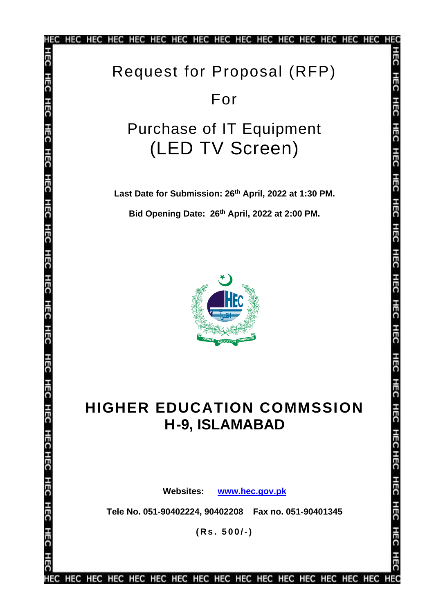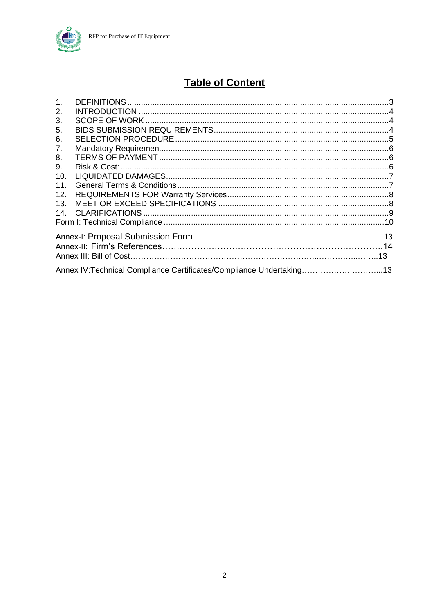

### **Table of Content**

| 1 <sub>1</sub> |                                                                      |  |
|----------------|----------------------------------------------------------------------|--|
| 2.             |                                                                      |  |
| 3.             |                                                                      |  |
| 5.             |                                                                      |  |
| 6.             |                                                                      |  |
| 7.             |                                                                      |  |
| 8.             |                                                                      |  |
| 9.             |                                                                      |  |
| 10.            |                                                                      |  |
| 11.            |                                                                      |  |
| 12.            |                                                                      |  |
| 13.            |                                                                      |  |
| 14.            |                                                                      |  |
|                |                                                                      |  |
|                |                                                                      |  |
|                |                                                                      |  |
|                |                                                                      |  |
|                | Annex IV: Technical Compliance Certificates/Compliance Undertaking13 |  |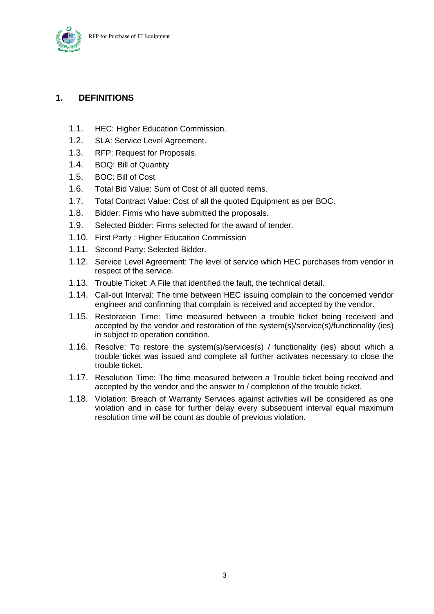

#### <span id="page-3-0"></span>**1. DEFINITIONS**

- 1.1. HEC: Higher Education Commission.
- 1.2. SLA: Service Level Agreement.
- 1.3. RFP: Request for Proposals.
- 1.4. BOQ: Bill of Quantity
- 1.5. BOC: Bill of Cost
- 1.6. Total Bid Value: Sum of Cost of all quoted items.
- 1.7. Total Contract Value: Cost of all the quoted Equipment as per BOC.
- 1.8. Bidder: Firms who have submitted the proposals.
- 1.9. Selected Bidder: Firms selected for the award of tender.
- 1.10. First Party : Higher Education Commission
- 1.11. Second Party: Selected Bidder.
- 1.12. Service Level Agreement: The level of service which HEC purchases from vendor in respect of the service.
- 1.13. Trouble Ticket: A File that identified the fault, the technical detail.
- 1.14. Call-out Interval: The time between HEC issuing complain to the concerned vendor engineer and confirming that complain is received and accepted by the vendor.
- 1.15. Restoration Time: Time measured between a trouble ticket being received and accepted by the vendor and restoration of the system(s)/service(s)/functionality (ies) in subject to operation condition.
- 1.16. Resolve: To restore the system(s)/services(s) / functionality (ies) about which a trouble ticket was issued and complete all further activates necessary to close the trouble ticket.
- 1.17. Resolution Time: The time measured between a Trouble ticket being received and accepted by the vendor and the answer to / completion of the trouble ticket.
- 1.18. Violation: Breach of Warranty Services against activities will be considered as one violation and in case for further delay every subsequent interval equal maximum resolution time will be count as double of previous violation.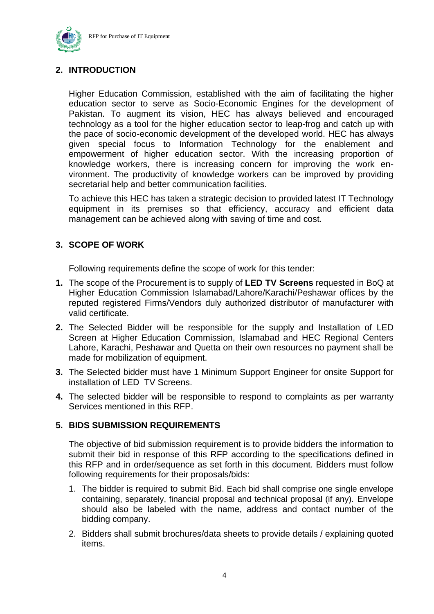

#### <span id="page-4-0"></span>**2. INTRODUCTION**

Higher Education Commission, established with the aim of facilitating the higher education sector to serve as Socio-Economic Engines for the development of Pakistan. To augment its vision, HEC has always believed and encouraged technology as a tool for the higher education sector to leap-frog and catch up with the pace of socio-economic development of the developed world. HEC has always given special focus to Information Technology for the enablement and empowerment of higher education sector. With the increasing proportion of knowledge workers, there is increasing concern for improving the work environment. The productivity of knowledge workers can be improved by providing secretarial help and better communication facilities.

To achieve this HEC has taken a strategic decision to provided latest IT Technology equipment in its premises so that efficiency, accuracy and efficient data management can be achieved along with saving of time and cost.

#### <span id="page-4-1"></span>**3. SCOPE OF WORK**

Following requirements define the scope of work for this tender:

- **1.** The scope of the Procurement is to supply of **LED TV Screens** requested in BoQ at Higher Education Commission Islamabad/Lahore/Karachi/Peshawar offices by the reputed registered Firms/Vendors duly authorized distributor of manufacturer with valid certificate.
- **2.** The Selected Bidder will be responsible for the supply and Installation of LED Screen at Higher Education Commission, Islamabad and HEC Regional Centers Lahore, Karachi, Peshawar and Quetta on their own resources no payment shall be made for mobilization of equipment.
- **3.** The Selected bidder must have 1 Minimum Support Engineer for onsite Support for installation of LED TV Screens.
- **4.** The selected bidder will be responsible to respond to complaints as per warranty Services mentioned in this RFP.

#### <span id="page-4-2"></span>**5. BIDS SUBMISSION REQUIREMENTS**

The objective of bid submission requirement is to provide bidders the information to submit their bid in response of this RFP according to the specifications defined in this RFP and in order/sequence as set forth in this document. Bidders must follow following requirements for their proposals/bids:

- 1. The bidder is required to submit Bid. Each bid shall comprise one single envelope containing, separately, financial proposal and technical proposal (if any). Envelope should also be labeled with the name, address and contact number of the bidding company.
- 2. Bidders shall submit brochures/data sheets to provide details / explaining quoted items.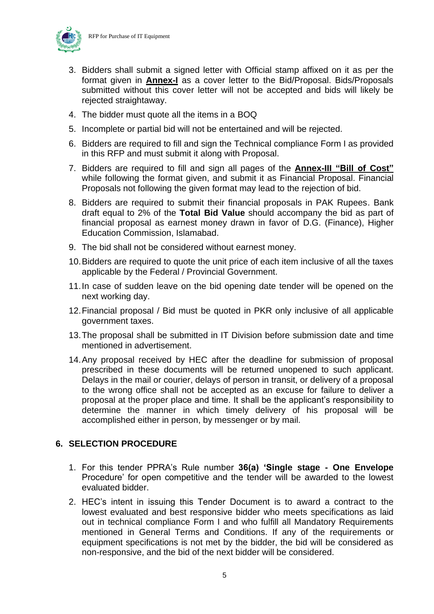



- 3. Bidders shall submit a signed letter with Official stamp affixed on it as per the format given in **Annex-I** as a cover letter to the Bid/Proposal. Bids/Proposals submitted without this cover letter will not be accepted and bids will likely be rejected straightaway.
- 4. The bidder must quote all the items in a BOQ
- 5. Incomplete or partial bid will not be entertained and will be rejected.
- 6. Bidders are required to fill and sign the Technical compliance Form I as provided in this RFP and must submit it along with Proposal.
- 7. Bidders are required to fill and sign all pages of the **Annex-III "Bill of Cost"**  while following the format given, and submit it as Financial Proposal. Financial Proposals not following the given format may lead to the rejection of bid.
- 8. Bidders are required to submit their financial proposals in PAK Rupees. Bank draft equal to 2% of the **Total Bid Value** should accompany the bid as part of financial proposal as earnest money drawn in favor of D.G. (Finance), Higher Education Commission, Islamabad.
- 9. The bid shall not be considered without earnest money.
- 10.Bidders are required to quote the unit price of each item inclusive of all the taxes applicable by the Federal / Provincial Government.
- 11.In case of sudden leave on the bid opening date tender will be opened on the next working day.
- 12.Financial proposal / Bid must be quoted in PKR only inclusive of all applicable government taxes.
- 13.The proposal shall be submitted in IT Division before submission date and time mentioned in advertisement.
- 14.Any proposal received by HEC after the deadline for submission of proposal prescribed in these documents will be returned unopened to such applicant. Delays in the mail or courier, delays of person in transit, or delivery of a proposal to the wrong office shall not be accepted as an excuse for failure to deliver a proposal at the proper place and time. It shall be the applicant's responsibility to determine the manner in which timely delivery of his proposal will be accomplished either in person, by messenger or by mail.

#### <span id="page-5-0"></span>**6. SELECTION PROCEDURE**

- 1. For this tender PPRA's Rule number **36(a) 'Single stage - One Envelope** Procedure' for open competitive and the tender will be awarded to the lowest evaluated bidder.
- 2. HEC's intent in issuing this Tender Document is to award a contract to the lowest evaluated and best responsive bidder who meets specifications as laid out in technical compliance Form I and who fulfill all Mandatory Requirements mentioned in General Terms and Conditions. If any of the requirements or equipment specifications is not met by the bidder, the bid will be considered as non-responsive, and the bid of the next bidder will be considered.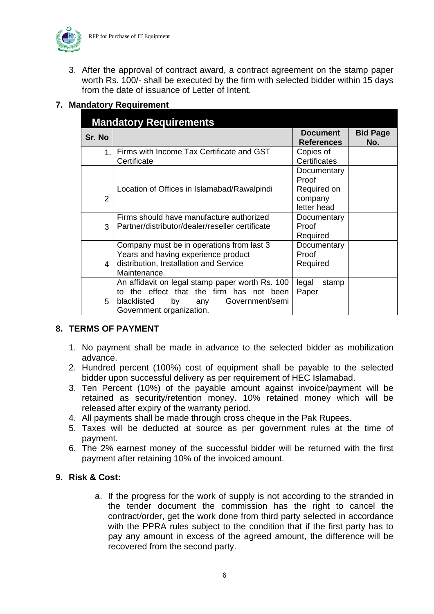

3. After the approval of contract award, a contract agreement on the stamp paper worth Rs. 100/- shall be executed by the firm with selected bidder within 15 days from the date of issuance of Letter of Intent.

#### <span id="page-6-0"></span>**7. Mandatory Requirement**

| <b>Mandatory Requirements</b> |                                                                                                                                                                           |                                       |                        |  |
|-------------------------------|---------------------------------------------------------------------------------------------------------------------------------------------------------------------------|---------------------------------------|------------------------|--|
| Sr. No                        |                                                                                                                                                                           | <b>Document</b><br><b>References</b>  | <b>Bid Page</b><br>No. |  |
| 1.                            | Firms with Income Tax Certificate and GST<br>Certificate                                                                                                                  | Copies of<br>Certificates             |                        |  |
|                               |                                                                                                                                                                           | Documentary<br>Proof                  |                        |  |
| 2                             | Location of Offices in Islamabad/Rawalpindi                                                                                                                               | Required on<br>company<br>letter head |                        |  |
| 3                             | Firms should have manufacture authorized<br>Partner/distributor/dealer/reseller certificate                                                                               | Documentary<br>Proof<br>Required      |                        |  |
| 4                             | Company must be in operations from last 3<br>Years and having experience product<br>distribution, Installation and Service<br>Maintenance.                                | Documentary<br>Proof<br>Required      |                        |  |
| 5                             | An affidavit on legal stamp paper worth Rs. 100<br>the effect that the firm has not been<br>tο<br>blacklisted<br>Government/semi<br>by<br>any<br>Government organization. | legal<br>stamp<br>Paper               |                        |  |

#### <span id="page-6-1"></span>**8. TERMS OF PAYMENT**

- 1. No payment shall be made in advance to the selected bidder as mobilization advance.
- 2. Hundred percent (100%) cost of equipment shall be payable to the selected bidder upon successful delivery as per requirement of HEC Islamabad.
- 3. Ten Percent (10%) of the payable amount against invoice/payment will be retained as security/retention money. 10% retained money which will be released after expiry of the warranty period.
- 4. All payments shall be made through cross cheque in the Pak Rupees.
- 5. Taxes will be deducted at source as per government rules at the time of payment.
- 6. The 2% earnest money of the successful bidder will be returned with the first payment after retaining 10% of the invoiced amount.

#### <span id="page-6-2"></span>**9. Risk & Cost:**

a. If the progress for the work of supply is not according to the stranded in the tender document the commission has the right to cancel the contract/order, get the work done from third party selected in accordance with the PPRA rules subject to the condition that if the first party has to pay any amount in excess of the agreed amount, the difference will be recovered from the second party.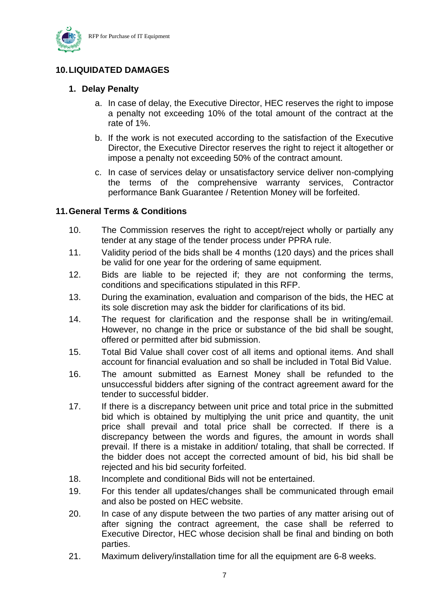

#### <span id="page-7-0"></span>**10.LIQUIDATED DAMAGES**

#### **1. Delay Penalty**

- a. In case of delay, the Executive Director, HEC reserves the right to impose a penalty not exceeding 10% of the total amount of the contract at the rate of 1%.
- b. If the work is not executed according to the satisfaction of the Executive Director, the Executive Director reserves the right to reject it altogether or impose a penalty not exceeding 50% of the contract amount.
- c. In case of services delay or unsatisfactory service deliver non-complying the terms of the comprehensive warranty services, Contractor performance Bank Guarantee / Retention Money will be forfeited.

#### <span id="page-7-1"></span>**11.General Terms & Conditions**

- 10. The Commission reserves the right to accept/reject wholly or partially any tender at any stage of the tender process under PPRA rule.
- 11. Validity period of the bids shall be 4 months (120 days) and the prices shall be valid for one year for the ordering of same equipment.
- 12. Bids are liable to be rejected if; they are not conforming the terms, conditions and specifications stipulated in this RFP.
- 13. During the examination, evaluation and comparison of the bids, the HEC at its sole discretion may ask the bidder for clarifications of its bid.
- 14. The request for clarification and the response shall be in writing/email. However, no change in the price or substance of the bid shall be sought, offered or permitted after bid submission.
- 15. Total Bid Value shall cover cost of all items and optional items. And shall account for financial evaluation and so shall be included in Total Bid Value.
- 16. The amount submitted as Earnest Money shall be refunded to the unsuccessful bidders after signing of the contract agreement award for the tender to successful bidder.
- 17. If there is a discrepancy between unit price and total price in the submitted bid which is obtained by multiplying the unit price and quantity, the unit price shall prevail and total price shall be corrected. If there is a discrepancy between the words and figures, the amount in words shall prevail. If there is a mistake in addition/ totaling, that shall be corrected. If the bidder does not accept the corrected amount of bid, his bid shall be rejected and his bid security forfeited.
- 18. Incomplete and conditional Bids will not be entertained.
- 19. For this tender all updates/changes shall be communicated through email and also be posted on HEC website.
- 20. In case of any dispute between the two parties of any matter arising out of after signing the contract agreement, the case shall be referred to Executive Director, HEC whose decision shall be final and binding on both parties.
- 21. Maximum delivery/installation time for all the equipment are 6-8 weeks.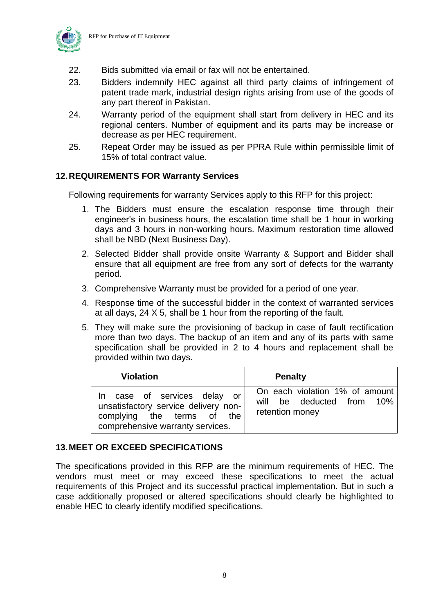

- 22. Bids submitted via email or fax will not be entertained.
- 23. Bidders indemnify HEC against all third party claims of infringement of patent trade mark, industrial design rights arising from use of the goods of any part thereof in Pakistan.
- 24. Warranty period of the equipment shall start from delivery in HEC and its regional centers. Number of equipment and its parts may be increase or decrease as per HEC requirement.
- 25. Repeat Order may be issued as per PPRA Rule within permissible limit of 15% of total contract value.

#### <span id="page-8-0"></span>**12.REQUIREMENTS FOR Warranty Services**

Following requirements for warranty Services apply to this RFP for this project:

- 1. The Bidders must ensure the escalation response time through their engineer's in business hours, the escalation time shall be 1 hour in working days and 3 hours in non-working hours. Maximum restoration time allowed shall be NBD (Next Business Day).
- 2. Selected Bidder shall provide onsite Warranty & Support and Bidder shall ensure that all equipment are free from any sort of defects for the warranty period.
- 3. Comprehensive Warranty must be provided for a period of one year.
- 4. Response time of the successful bidder in the context of warranted services at all days, 24 X 5, shall be 1 hour from the reporting of the fault.
- 5. They will make sure the provisioning of backup in case of fault rectification more than two days. The backup of an item and any of its parts with same specification shall be provided in 2 to 4 hours and replacement shall be provided within two days.

| <b>Violation</b>                                                                                                                             | <b>Penalty</b>                                                                 |
|----------------------------------------------------------------------------------------------------------------------------------------------|--------------------------------------------------------------------------------|
| case of services delay or<br>$\ln$<br>unsatisfactory service delivery non-<br>complying the terms of the<br>comprehensive warranty services. | On each violation 1% of amount<br>will be deducted from 10%<br>retention money |

#### <span id="page-8-1"></span>**13.MEET OR EXCEED SPECIFICATIONS**

The specifications provided in this RFP are the minimum requirements of HEC. The vendors must meet or may exceed these specifications to meet the actual requirements of this Project and its successful practical implementation. But in such a case additionally proposed or altered specifications should clearly be highlighted to enable HEC to clearly identify modified specifications.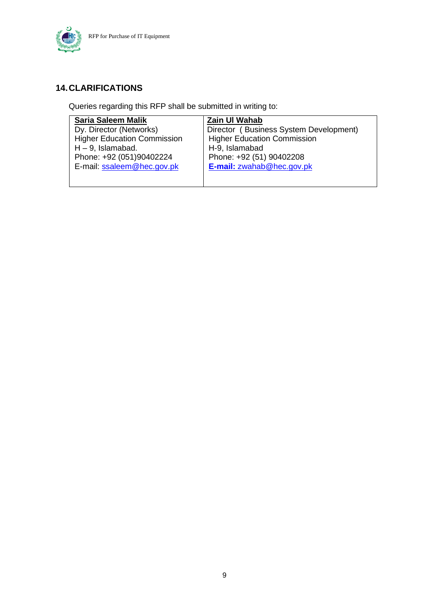

### <span id="page-9-0"></span>**14.CLARIFICATIONS**

Queries regarding this RFP shall be submitted in writing to:

| <b>Saria Saleem Malik</b>          | Zain UI Wahab                          |
|------------------------------------|----------------------------------------|
| Dy. Director (Networks)            | Director (Business System Development) |
| <b>Higher Education Commission</b> | <b>Higher Education Commission</b>     |
| $H - 9$ , Islamabad.               | H-9, Islamabad                         |
| Phone: +92 (051)90402224           | Phone: +92 (51) 90402208               |
| E-mail: ssaleem@hec.gov.pk         | E-mail: zwahab@hec.gov.pk              |
|                                    |                                        |
|                                    |                                        |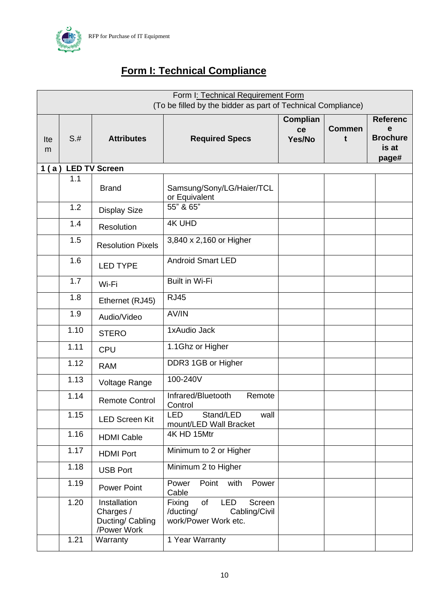

### **Form I: Technical Compliance**

<span id="page-10-0"></span>

|          | Form I: Technical Requirement Form<br>(To be filled by the bidder as part of Technical Compliance) |                                                              |                                                                                            |                                 |                    |                                                           |
|----------|----------------------------------------------------------------------------------------------------|--------------------------------------------------------------|--------------------------------------------------------------------------------------------|---------------------------------|--------------------|-----------------------------------------------------------|
| Ite<br>m | $S+$                                                                                               | <b>Attributes</b>                                            | <b>Required Specs</b>                                                                      | <b>Complian</b><br>ce<br>Yes/No | <b>Commen</b><br>t | <b>Referenc</b><br>e<br><b>Brochure</b><br>is at<br>page# |
| 1(a)     |                                                                                                    | <b>LED TV Screen</b>                                         |                                                                                            |                                 |                    |                                                           |
|          | 1.1                                                                                                | <b>Brand</b>                                                 | Samsung/Sony/LG/Haier/TCL<br>or Equivalent                                                 |                                 |                    |                                                           |
|          | 1.2                                                                                                | <b>Display Size</b>                                          | 55" & 65"                                                                                  |                                 |                    |                                                           |
|          | 1.4                                                                                                | Resolution                                                   | <b>4K UHD</b>                                                                              |                                 |                    |                                                           |
|          | 1.5                                                                                                | <b>Resolution Pixels</b>                                     | 3,840 x 2,160 or Higher                                                                    |                                 |                    |                                                           |
|          | 1.6                                                                                                | <b>LED TYPE</b>                                              | <b>Android Smart LED</b>                                                                   |                                 |                    |                                                           |
|          | 1.7                                                                                                | Wi-Fi                                                        | <b>Built in Wi-Fi</b>                                                                      |                                 |                    |                                                           |
|          | 1.8                                                                                                | Ethernet (RJ45)                                              | <b>RJ45</b>                                                                                |                                 |                    |                                                           |
|          | 1.9                                                                                                | Audio/Video                                                  | AV/IN                                                                                      |                                 |                    |                                                           |
|          | 1.10                                                                                               | <b>STERO</b>                                                 | 1xAudio Jack                                                                               |                                 |                    |                                                           |
|          | 1.11                                                                                               | <b>CPU</b>                                                   | 1.1Ghz or Higher                                                                           |                                 |                    |                                                           |
|          | 1.12                                                                                               | <b>RAM</b>                                                   | DDR3 1GB or Higher                                                                         |                                 |                    |                                                           |
|          | 1.13                                                                                               | Voltage Range                                                | 100-240V                                                                                   |                                 |                    |                                                           |
|          | 1.14                                                                                               | <b>Remote Control</b>                                        | Infrared/Bluetooth<br>Remote<br>Control                                                    |                                 |                    |                                                           |
|          | 1.15                                                                                               | <b>LED Screen Kit</b>                                        | <b>LED</b><br>Stand/LED<br>wall<br>mount/LED Wall Bracket                                  |                                 |                    |                                                           |
|          | 1.16                                                                                               | <b>HDMI Cable</b>                                            | 4K HD 15Mtr                                                                                |                                 |                    |                                                           |
|          | 1.17                                                                                               | <b>HDMI Port</b>                                             | Minimum to 2 or Higher                                                                     |                                 |                    |                                                           |
|          | 1.18                                                                                               | <b>USB Port</b>                                              | Minimum 2 to Higher                                                                        |                                 |                    |                                                           |
|          | 1.19                                                                                               | Power Point                                                  | Point with<br>Power<br>Power<br>Cable                                                      |                                 |                    |                                                           |
|          | 1.20                                                                                               | Installation<br>Charges /<br>Ducting/ Cabling<br>/Power Work | of<br><b>LED</b><br>Fixing<br>Screen<br>/ducting/<br>Cabling/Civil<br>work/Power Work etc. |                                 |                    |                                                           |
|          | 1.21                                                                                               | Warranty                                                     | 1 Year Warranty                                                                            |                                 |                    |                                                           |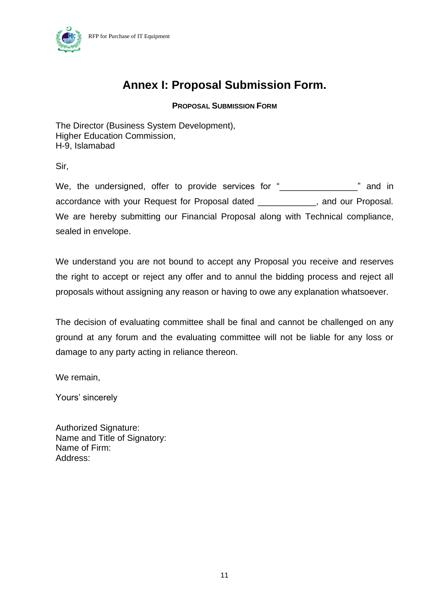

### **Annex I: Proposal Submission Form.**

**PROPOSAL SUBMISSION FORM**

The Director (Business System Development), Higher Education Commission, H-9, Islamabad

Sir,

We, the undersigned, offer to provide services for "\_\_\_\_\_\_\_\_\_\_\_\_\_\_\_\_\_" and in accordance with your Request for Proposal dated \_\_\_\_\_\_\_\_\_\_\_\_, and our Proposal. We are hereby submitting our Financial Proposal along with Technical compliance, sealed in envelope.

We understand you are not bound to accept any Proposal you receive and reserves the right to accept or reject any offer and to annul the bidding process and reject all proposals without assigning any reason or having to owe any explanation whatsoever.

The decision of evaluating committee shall be final and cannot be challenged on any ground at any forum and the evaluating committee will not be liable for any loss or damage to any party acting in reliance thereon.

We remain,

Yours' sincerely

Authorized Signature: Name and Title of Signatory: Name of Firm: Address: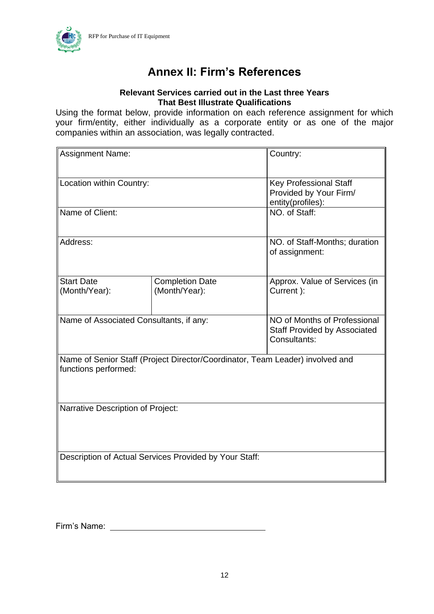

### **Annex II: Firm's References**

#### **Relevant Services carried out in the Last three Years That Best Illustrate Qualifications**

Using the format below, provide information on each reference assignment for which your firm/entity, either individually as a corporate entity or as one of the major companies within an association, was legally contracted.

| <b>Assignment Name:</b>                                                                               | Country:                                                                            |                                                                              |  |
|-------------------------------------------------------------------------------------------------------|-------------------------------------------------------------------------------------|------------------------------------------------------------------------------|--|
| Location within Country:                                                                              |                                                                                     | <b>Key Professional Staff</b><br>Provided by Your Firm/<br>entity(profiles): |  |
| Name of Client:                                                                                       | NO. of Staff:                                                                       |                                                                              |  |
| Address:                                                                                              | NO. of Staff-Months; duration<br>of assignment:                                     |                                                                              |  |
| <b>Start Date</b><br><b>Completion Date</b><br>(Month/Year):<br>(Month/Year):                         |                                                                                     | Approx. Value of Services (in<br>Current ):                                  |  |
| Name of Associated Consultants, if any:                                                               | NO of Months of Professional<br><b>Staff Provided by Associated</b><br>Consultants: |                                                                              |  |
| Name of Senior Staff (Project Director/Coordinator, Team Leader) involved and<br>functions performed: |                                                                                     |                                                                              |  |
| <b>Narrative Description of Project:</b>                                                              |                                                                                     |                                                                              |  |
|                                                                                                       | Description of Actual Services Provided by Your Staff:                              |                                                                              |  |

<span id="page-12-0"></span>Firm's Name: William Communication of the Name of Table 1, 1999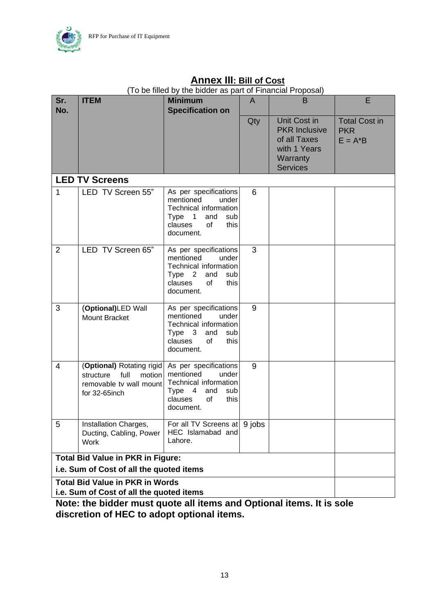

#### **Sr. No. ITEM** Minimum **Specification on**  A B E Qty Unit Cost in **PKR** Inclusive of all Taxes with 1 Years **Warranty Services** Total Cost in **PKR**  $E = A^*B$ **LED TV Screens** 1 **LED TV Screen 55**" As per specifications<br>mentioned under mentioned Technical information Type 1 and sub clauses of this document. 6 2 LED TV Screen 65" As per specifications<br>mentioned under mentioned Technical information Type 2 and sub clauses of this document. 3 3 (**Optional)**LED Wall Mount Bracket As per specifications mentioned under Technical information Type 3 and sub<br>clauses of this  $clauses$  of document. 9 4 (**Optional)** Rotating rigid structure full motion removable tv wall mount for 32-65inch As per specifications mentioned under Technical information Type 4 and sub clauses of this document. 9 5 | Installation Charges, Ducting, Cabling, Power **Work** For all TV Screens at HEC Islamabad and Lahore. 9 jobs **Total Bid Value in PKR in Figure: i.e. Sum of Cost of all the quoted items Total Bid Value in PKR in Words i.e. Sum of Cost of all the quoted items**

### **Annex III: Bill of Cost**

(To be filled by the bidder as part of Financial Proposal)

<span id="page-13-0"></span>**Note: the bidder must quote all items and Optional items. It is sole discretion of HEC to adopt optional items.**